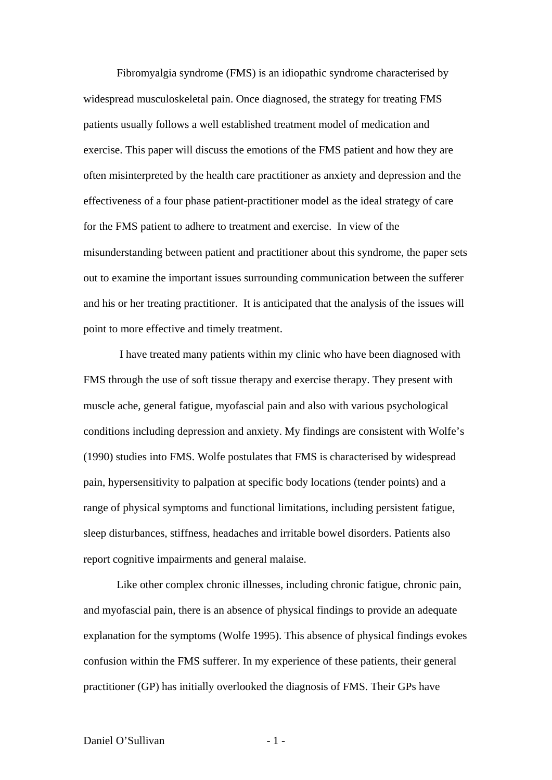Fibromyalgia syndrome (FMS) is an idiopathic syndrome characterised by widespread musculoskeletal pain. Once diagnosed, the strategy for treating FMS patients usually follows a well established treatment model of medication and exercise. This paper will discuss the emotions of the FMS patient and how they are often misinterpreted by the health care practitioner as anxiety and depression and the effectiveness of a four phase patient-practitioner model as the ideal strategy of care for the FMS patient to adhere to treatment and exercise. In view of the misunderstanding between patient and practitioner about this syndrome, the paper sets out to examine the important issues surrounding communication between the sufferer and his or her treating practitioner. It is anticipated that the analysis of the issues will point to more effective and timely treatment.

 I have treated many patients within my clinic who have been diagnosed with FMS through the use of soft tissue therapy and exercise therapy. They present with muscle ache, general fatigue, myofascial pain and also with various psychological conditions including depression and anxiety. My findings are consistent with Wolfe's (1990) studies into FMS. Wolfe postulates that FMS is characterised by widespread pain, hypersensitivity to palpation at specific body locations (tender points) and a range of physical symptoms and functional limitations, including persistent fatigue, sleep disturbances, stiffness, headaches and irritable bowel disorders. Patients also report cognitive impairments and general malaise.

Like other complex chronic illnesses, including chronic fatigue, chronic pain, and myofascial pain, there is an absence of physical findings to provide an adequate explanation for the symptoms (Wolfe 1995). This absence of physical findings evokes confusion within the FMS sufferer. In my experience of these patients, their general practitioner (GP) has initially overlooked the diagnosis of FMS. Their GPs have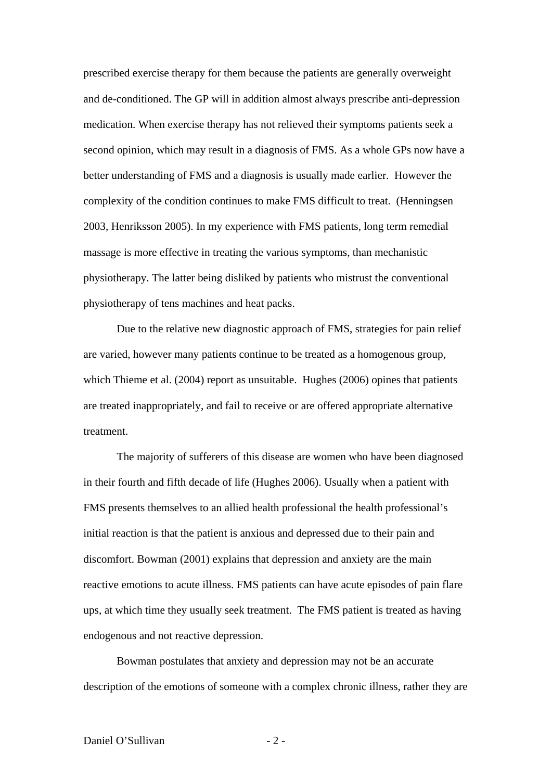prescribed exercise therapy for them because the patients are generally overweight and de-conditioned. The GP will in addition almost always prescribe anti-depression medication. When exercise therapy has not relieved their symptoms patients seek a second opinion, which may result in a diagnosis of FMS. As a whole GPs now have a better understanding of FMS and a diagnosis is usually made earlier. However the complexity of the condition continues to make FMS difficult to treat. (Henningsen 2003, Henriksson 2005). In my experience with FMS patients, long term remedial massage is more effective in treating the various symptoms, than mechanistic physiotherapy. The latter being disliked by patients who mistrust the conventional physiotherapy of tens machines and heat packs.

Due to the relative new diagnostic approach of FMS, strategies for pain relief are varied, however many patients continue to be treated as a homogenous group, which Thieme et al. (2004) report as unsuitable. Hughes (2006) opines that patients are treated inappropriately, and fail to receive or are offered appropriate alternative treatment.

The majority of sufferers of this disease are women who have been diagnosed in their fourth and fifth decade of life (Hughes 2006). Usually when a patient with FMS presents themselves to an allied health professional the health professional's initial reaction is that the patient is anxious and depressed due to their pain and discomfort. Bowman (2001) explains that depression and anxiety are the main reactive emotions to acute illness. FMS patients can have acute episodes of pain flare ups, at which time they usually seek treatment. The FMS patient is treated as having endogenous and not reactive depression.

Bowman postulates that anxiety and depression may not be an accurate description of the emotions of someone with a complex chronic illness, rather they are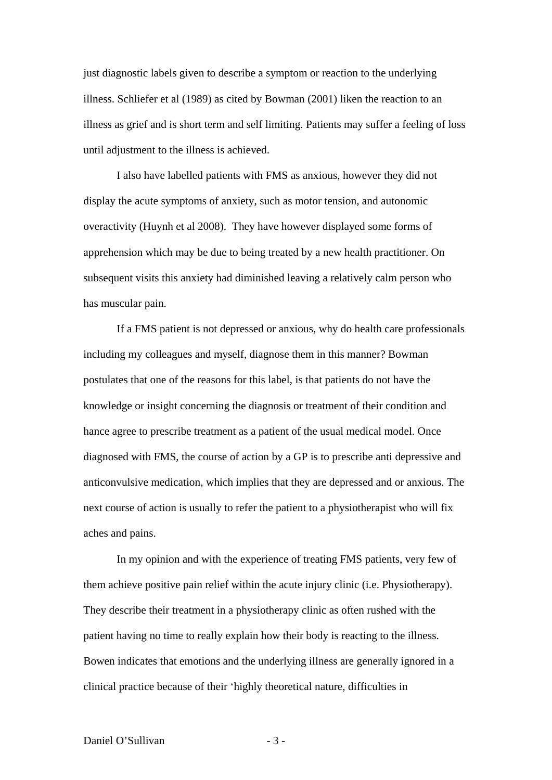just diagnostic labels given to describe a symptom or reaction to the underlying illness. Schliefer et al (1989) as cited by Bowman (2001) liken the reaction to an illness as grief and is short term and self limiting. Patients may suffer a feeling of loss until adjustment to the illness is achieved.

I also have labelled patients with FMS as anxious, however they did not display the acute symptoms of anxiety, such as motor tension, and autonomic overactivity (Huynh et al 2008). They have however displayed some forms of apprehension which may be due to being treated by a new health practitioner. On subsequent visits this anxiety had diminished leaving a relatively calm person who has muscular pain.

If a FMS patient is not depressed or anxious, why do health care professionals including my colleagues and myself, diagnose them in this manner? Bowman postulates that one of the reasons for this label, is that patients do not have the knowledge or insight concerning the diagnosis or treatment of their condition and hance agree to prescribe treatment as a patient of the usual medical model. Once diagnosed with FMS, the course of action by a GP is to prescribe anti depressive and anticonvulsive medication, which implies that they are depressed and or anxious. The next course of action is usually to refer the patient to a physiotherapist who will fix aches and pains.

In my opinion and with the experience of treating FMS patients, very few of them achieve positive pain relief within the acute injury clinic (i.e. Physiotherapy). They describe their treatment in a physiotherapy clinic as often rushed with the patient having no time to really explain how their body is reacting to the illness. Bowen indicates that emotions and the underlying illness are generally ignored in a clinical practice because of their 'highly theoretical nature, difficulties in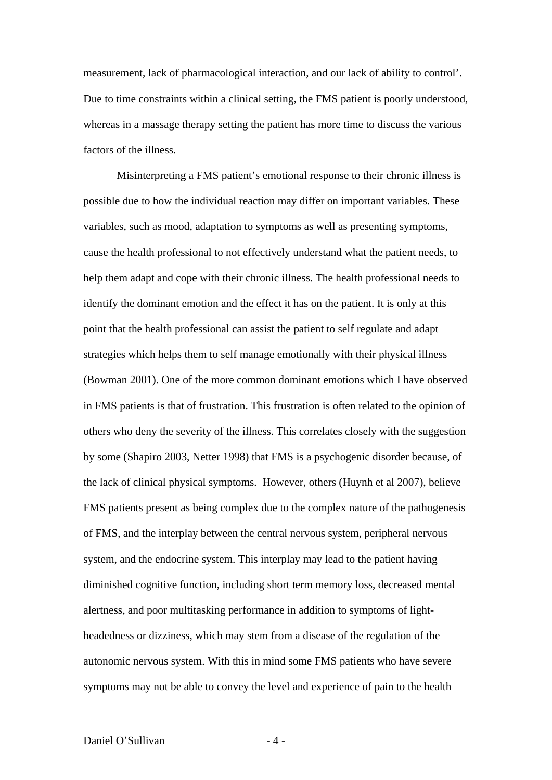measurement, lack of pharmacological interaction, and our lack of ability to control'. Due to time constraints within a clinical setting, the FMS patient is poorly understood, whereas in a massage therapy setting the patient has more time to discuss the various factors of the illness.

Misinterpreting a FMS patient's emotional response to their chronic illness is possible due to how the individual reaction may differ on important variables. These variables, such as mood, adaptation to symptoms as well as presenting symptoms, cause the health professional to not effectively understand what the patient needs, to help them adapt and cope with their chronic illness. The health professional needs to identify the dominant emotion and the effect it has on the patient. It is only at this point that the health professional can assist the patient to self regulate and adapt strategies which helps them to self manage emotionally with their physical illness (Bowman 2001). One of the more common dominant emotions which I have observed in FMS patients is that of frustration. This frustration is often related to the opinion of others who deny the severity of the illness. This correlates closely with the suggestion by some (Shapiro 2003, Netter 1998) that FMS is a psychogenic disorder because, of the lack of clinical physical symptoms. However, others (Huynh et al 2007), believe FMS patients present as being complex due to the complex nature of the pathogenesis of FMS, and the interplay between the central nervous system, peripheral nervous system, and the endocrine system. This interplay may lead to the patient having diminished cognitive function, including short term memory loss, decreased mental alertness, and poor multitasking performance in addition to symptoms of lightheadedness or dizziness, which may stem from a disease of the regulation of the autonomic nervous system. With this in mind some FMS patients who have severe symptoms may not be able to convey the level and experience of pain to the health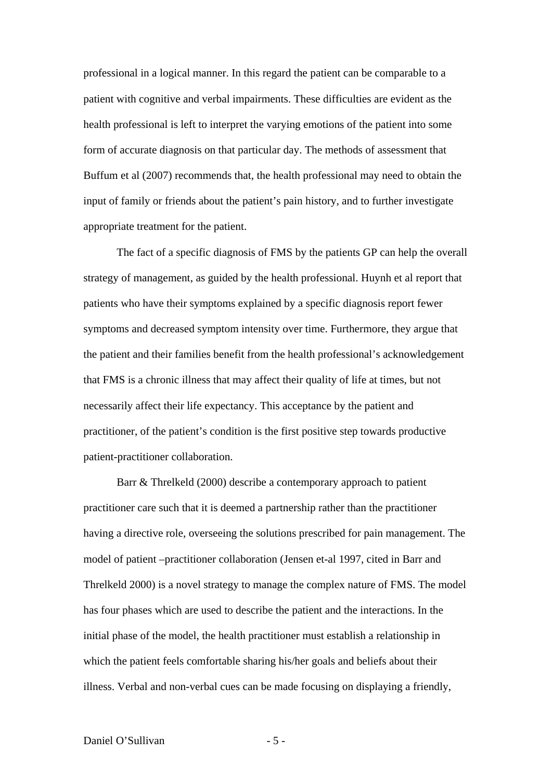professional in a logical manner. In this regard the patient can be comparable to a patient with cognitive and verbal impairments. These difficulties are evident as the health professional is left to interpret the varying emotions of the patient into some form of accurate diagnosis on that particular day. The methods of assessment that Buffum et al (2007) recommends that, the health professional may need to obtain the input of family or friends about the patient's pain history, and to further investigate appropriate treatment for the patient.

The fact of a specific diagnosis of FMS by the patients GP can help the overall strategy of management, as guided by the health professional. Huynh et al report that patients who have their symptoms explained by a specific diagnosis report fewer symptoms and decreased symptom intensity over time. Furthermore, they argue that the patient and their families benefit from the health professional's acknowledgement that FMS is a chronic illness that may affect their quality of life at times, but not necessarily affect their life expectancy. This acceptance by the patient and practitioner, of the patient's condition is the first positive step towards productive patient-practitioner collaboration.

Barr & Threlkeld (2000) describe a contemporary approach to patient practitioner care such that it is deemed a partnership rather than the practitioner having a directive role, overseeing the solutions prescribed for pain management. The model of patient –practitioner collaboration (Jensen et-al 1997, cited in Barr and Threlkeld 2000) is a novel strategy to manage the complex nature of FMS. The model has four phases which are used to describe the patient and the interactions. In the initial phase of the model, the health practitioner must establish a relationship in which the patient feels comfortable sharing his/her goals and beliefs about their illness. Verbal and non-verbal cues can be made focusing on displaying a friendly,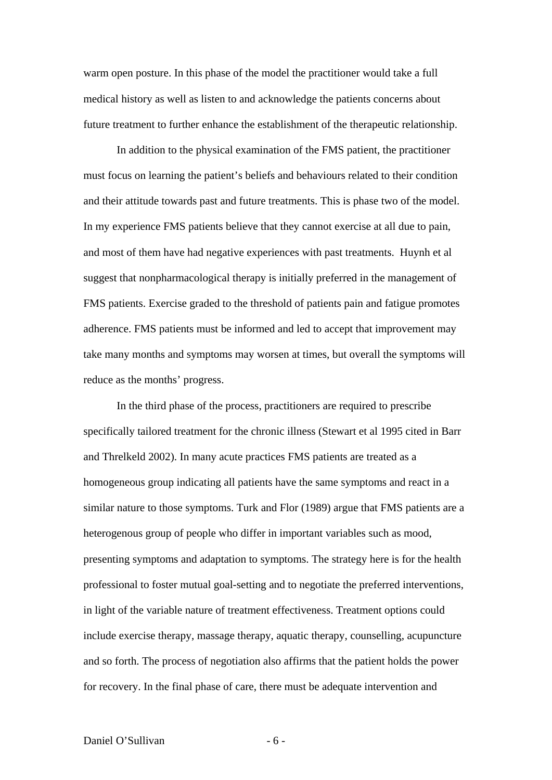warm open posture. In this phase of the model the practitioner would take a full medical history as well as listen to and acknowledge the patients concerns about future treatment to further enhance the establishment of the therapeutic relationship.

In addition to the physical examination of the FMS patient, the practitioner must focus on learning the patient's beliefs and behaviours related to their condition and their attitude towards past and future treatments. This is phase two of the model. In my experience FMS patients believe that they cannot exercise at all due to pain, and most of them have had negative experiences with past treatments. Huynh et al suggest that nonpharmacological therapy is initially preferred in the management of FMS patients. Exercise graded to the threshold of patients pain and fatigue promotes adherence. FMS patients must be informed and led to accept that improvement may take many months and symptoms may worsen at times, but overall the symptoms will reduce as the months' progress.

In the third phase of the process, practitioners are required to prescribe specifically tailored treatment for the chronic illness (Stewart et al 1995 cited in Barr and Threlkeld 2002). In many acute practices FMS patients are treated as a homogeneous group indicating all patients have the same symptoms and react in a similar nature to those symptoms. Turk and Flor (1989) argue that FMS patients are a heterogenous group of people who differ in important variables such as mood, presenting symptoms and adaptation to symptoms. The strategy here is for the health professional to foster mutual goal-setting and to negotiate the preferred interventions, in light of the variable nature of treatment effectiveness. Treatment options could include exercise therapy, massage therapy, aquatic therapy, counselling, acupuncture and so forth. The process of negotiation also affirms that the patient holds the power for recovery. In the final phase of care, there must be adequate intervention and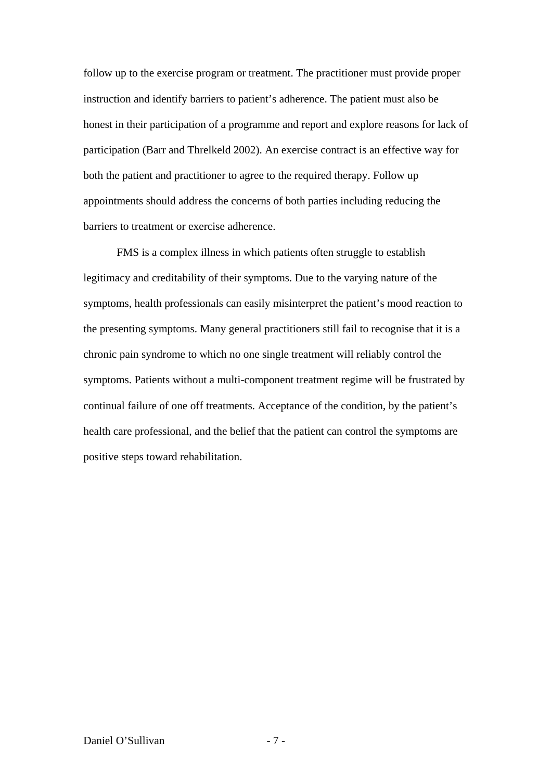follow up to the exercise program or treatment. The practitioner must provide proper instruction and identify barriers to patient's adherence. The patient must also be honest in their participation of a programme and report and explore reasons for lack of participation (Barr and Threlkeld 2002). An exercise contract is an effective way for both the patient and practitioner to agree to the required therapy. Follow up appointments should address the concerns of both parties including reducing the barriers to treatment or exercise adherence.

FMS is a complex illness in which patients often struggle to establish legitimacy and creditability of their symptoms. Due to the varying nature of the symptoms, health professionals can easily misinterpret the patient's mood reaction to the presenting symptoms. Many general practitioners still fail to recognise that it is a chronic pain syndrome to which no one single treatment will reliably control the symptoms. Patients without a multi-component treatment regime will be frustrated by continual failure of one off treatments. Acceptance of the condition, by the patient's health care professional, and the belief that the patient can control the symptoms are positive steps toward rehabilitation.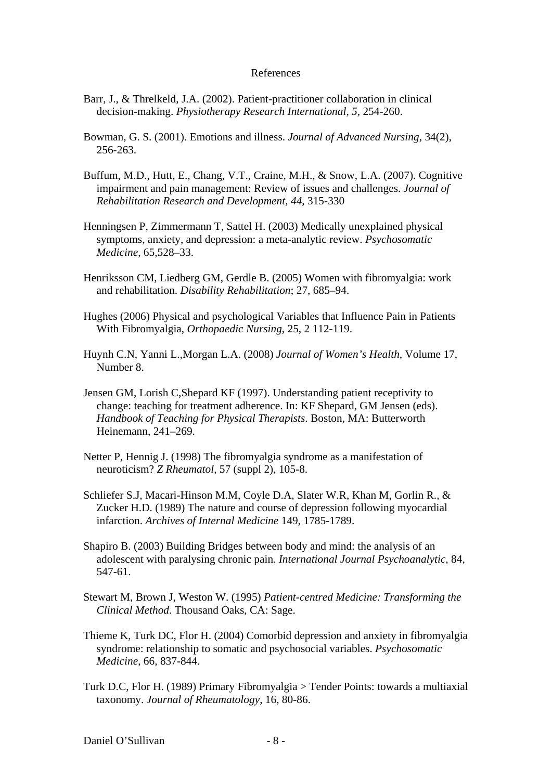## References

- Barr, J., & Threlkeld, J.A. (2002). Patient-practitioner collaboration in clinical decision-making. *Physiotherapy Research International, 5,* 254-260.
- Bowman, G. S. (2001). Emotions and illness. *Journal of Advanced Nursing*, 34(2), 256-263.
- Buffum, M.D., Hutt, E., Chang, V.T., Craine, M.H., & Snow, L.A. (2007). Cognitive impairment and pain management: Review of issues and challenges. *Journal of Rehabilitation Research and Development, 44*, 315-330
- Henningsen P, Zimmermann T, Sattel H. (2003) Medically unexplained physical symptoms, anxiety, and depression: a meta-analytic review. *Psychosomatic Medicine*, 65,528–33.
- Henriksson CM, Liedberg GM, Gerdle B. (2005) Women with fibromyalgia: work and rehabilitation. *Disability Rehabilitation*; 27, 685–94.
- Hughes (2006) Physical and psychological Variables that Influence Pain in Patients With Fibromyalgia, *Orthopaedic Nursing*, 25, 2 112-119.
- Huynh C.N, Yanni L.,Morgan L.A. (2008) *Journal of Women's Health,* Volume 17, Number 8.
- Jensen GM, Lorish C,Shepard KF (1997). Understanding patient receptivity to change: teaching for treatment adherence. In: KF Shepard, GM Jensen (eds). *Handbook of Teaching for Physical Therapists*. Boston, MA: Butterworth Heinemann, 241–269.
- Netter P, Hennig J. (1998) The fibromyalgia syndrome as a manifestation of neuroticism? *Z Rheumatol*, 57 (suppl 2), 105-8.
- Schliefer S.J, Macari-Hinson M.M, Coyle D.A, Slater W.R, Khan M, Gorlin R., & Zucker H.D. (1989) The nature and course of depression following myocardial infarction. *Archives of Internal Medicine* 149, 1785-1789.
- Shapiro B. (2003) Building Bridges between body and mind: the analysis of an adolescent with paralysing chronic pain*. International Journal Psychoanalytic*, 84, 547-61.
- Stewart M, Brown J, Weston W. (1995) *Patient-centred Medicine: Transforming the Clinical Method*. Thousand Oaks, CA: Sage.
- Thieme K, Turk DC, Flor H. (2004) Comorbid depression and anxiety in fibromyalgia syndrome: relationship to somatic and psychosocial variables. *Psychosomatic Medicine*, 66, 837-844.
- Turk D.C, Flor H. (1989) Primary Fibromyalgia > Tender Points: towards a multiaxial taxonomy. *Journal of Rheumatology*, 16, 80-86.